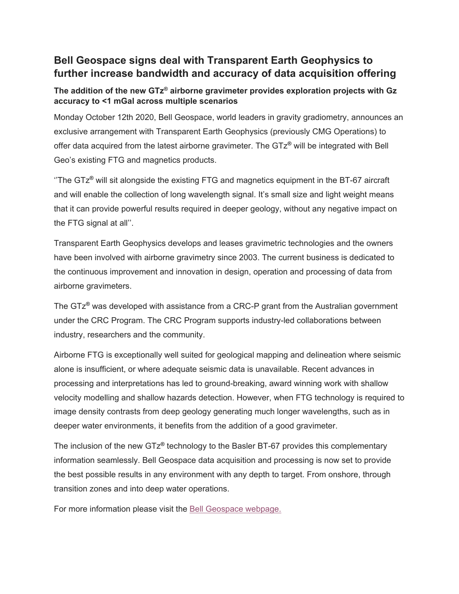# **Bell Geospace signs deal with Transparent Earth Geophysics to further increase bandwidth and accuracy of data acquisition offering**

## **The addition of the new GTz® airborne gravimeter provides exploration projects with Gz accuracy to <1 mGal across multiple scenarios**

Monday October 12th 2020, Bell Geospace, world leaders in gravity gradiometry, announces an exclusive arrangement with Transparent Earth Geophysics (previously CMG Operations) to offer data acquired from the latest airborne gravimeter. The GTz**®** will be integrated with Bell Geo's existing FTG and magnetics products.

''The GTz**®** will sit alongside the existing FTG and magnetics equipment in the BT-67 aircraft and will enable the collection of long wavelength signal. It's small size and light weight means that it can provide powerful results required in deeper geology, without any negative impact on the FTG signal at all''.

Transparent Earth Geophysics develops and leases gravimetric technologies and the owners have been involved with airborne gravimetry since 2003. The current business is dedicated to the continuous improvement and innovation in design, operation and processing of data from airborne gravimeters.

The GTz**®** was developed with assistance from a CRC-P grant from the Australian government under the CRC Program. The CRC Program supports industry-led collaborations between industry, researchers and the community.

Airborne FTG is exceptionally well suited for geological mapping and delineation where seismic alone is insufficient, or where adequate seismic data is unavailable. Recent advances in processing and interpretations has led to ground-breaking, award winning work with shallow velocity modelling and shallow hazards detection. However, when FTG technology is required to image density contrasts from deep geology generating much longer wavelengths, such as in deeper water environments, it benefits from the addition of a good gravimeter.

The inclusion of the new GTz**®** technology to the Basler BT-67 provides this complementary information seamlessly. Bell Geospace data acquisition and processing is now set to provide the best possible results in any environment with any depth to target. From onshore, through transition zones and into deep water operations.

For more information please visit the [Bell Geospace webpage.](https://www.bellgeo.com/gtz-gravimetry)